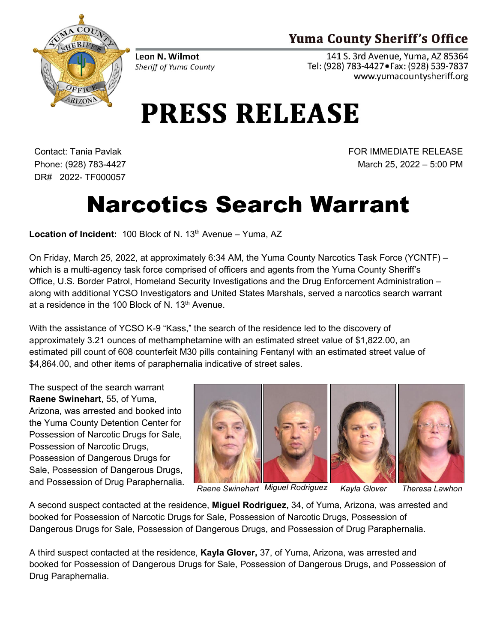## **Yuma County Sheriff's Office**



Leon N. Wilmot Sheriff of Yuma County

141 S. 3rd Avenue, Yuma, AZ 85364 Tel: (928) 783-4427 · Fax: (928) 539-7837 www.yumacountysheriff.org

## **PRESS RELEASE**

Contact: Tania Pavlak Phone: (928) 783-4427 DR# 2022- TF000057 FOR IMMEDIATE RELEASE March 25, 2022 – 5:00 PM

## Narcotics Search Warrant

**Location of Incident:** 100 Block of N. 13<sup>th</sup> Avenue – Yuma, AZ

On Friday, March 25, 2022, at approximately 6:34 AM, the Yuma County Narcotics Task Force (YCNTF) – which is a multi-agency task force comprised of officers and agents from the Yuma County Sheriff's Office, U.S. Border Patrol, Homeland Security Investigations and the Drug Enforcement Administration – along with additional YCSO Investigators and United States Marshals, served a narcotics search warrant at a residence in the 100 Block of N. 13<sup>th</sup> Avenue.

With the assistance of YCSO K-9 "Kass," the search of the residence led to the discovery of approximately 3.21 ounces of methamphetamine with an estimated street value of \$1,822.00, an estimated pill count of 608 counterfeit M30 pills containing Fentanyl with an estimated street value of \$4,864.00, and other items of paraphernalia indicative of street sales.

The suspect of the search warrant **Raene Swinehart**, 55, of Yuma, Arizona, was arrested and booked into the Yuma County Detention Center for Possession of Narcotic Drugs for Sale, Possession of Narcotic Drugs, Possession of Dangerous Drugs for Sale, Possession of Dangerous Drugs, and Possession of Drug Paraphernalia.



*Raene Swinehart Miguel Rodriguez Kayla Glover Theresa Lawhon*

A second suspect contacted at the residence, **Miguel Rodriguez,** 34, of Yuma, Arizona, was arrested and booked for Possession of Narcotic Drugs for Sale, Possession of Narcotic Drugs, Possession of Dangerous Drugs for Sale, Possession of Dangerous Drugs, and Possession of Drug Paraphernalia.

A third suspect contacted at the residence, **Kayla Glover,** 37, of Yuma, Arizona, was arrested and booked for Possession of Dangerous Drugs for Sale, Possession of Dangerous Drugs, and Possession of Drug Paraphernalia.